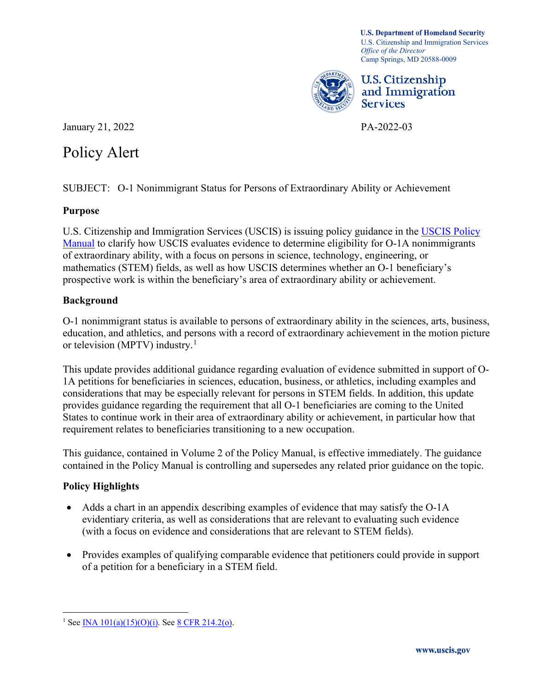Camp Springs, MD 20588-0009 **U.S. Department of Homeland Security**  U.S. Citizenship and Immigration Services *Office of the Director* 



U.S. Citizenship and Immigration Services

January 21, 2022 PA-2022-03

# Policy Alert

SUBJECT: O-1 Nonimmigrant Status for Persons of Extraordinary Ability or Achievement

### **Purpose**

U.S. Citizenship and Immigration Services (USCIS) is issuing policy guidance in the [USCIS Policy](https://www.uscis.gov/policy-manual)  [Manual](https://www.uscis.gov/policy-manual) to clarify how USCIS evaluates evidence to determine eligibility for O-1A nonimmigrants of extraordinary ability, with a focus on persons in science, technology, engineering, or mathematics (STEM) fields, as well as how USCIS determines whether an O-1 beneficiary's prospective work is within the beneficiary's area of extraordinary ability or achievement.

### **Background**

or television (MPTV) industry.<sup>[1](#page-0-0)</sup> O-1 nonimmigrant status is available to persons of extraordinary ability in the sciences, arts, business, education, and athletics, and persons with a record of extraordinary achievement in the motion picture

 provides guidance regarding the requirement that all O-1 beneficiaries are coming to the United This update provides additional guidance regarding evaluation of evidence submitted in support of O-1A petitions for beneficiaries in sciences, education, business, or athletics, including examples and considerations that may be especially relevant for persons in STEM fields. In addition, this update States to continue work in their area of extraordinary ability or achievement, in particular how that requirement relates to beneficiaries transitioning to a new occupation.

This guidance, contained in Volume 2 of the Policy Manual, is effective immediately. The guidance contained in the Policy Manual is controlling and supersedes any related prior guidance on the topic.

## **Policy Highlights**

- Adds a chart in an appendix describing examples of evidence that may satisfy the O-1A evidentiary criteria, as well as considerations that are relevant to evaluating such evidence (with a focus on evidence and considerations that are relevant to STEM fields).
- Provides examples of qualifying comparable evidence that petitioners could provide in support of a petition for a beneficiary in a STEM field.

<span id="page-0-0"></span><sup>&</sup>lt;sup>1</sup> See <u>INA 101(a)(15)(O)(i)</u>. See <u>8 CFR 214.2(o)</u>.